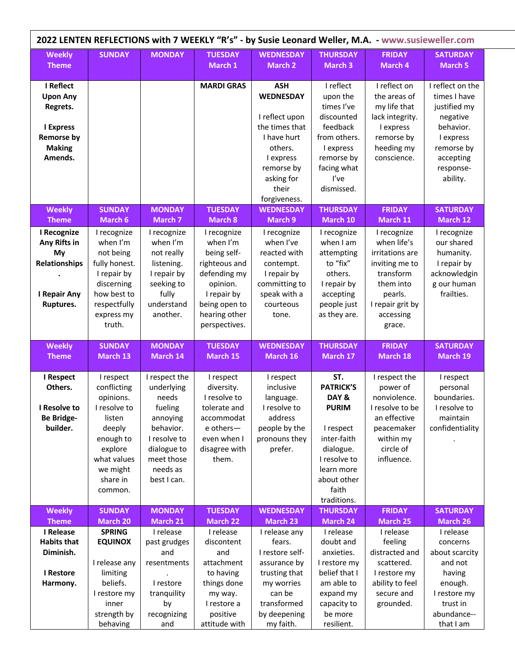| 2022 LENTEN REFLECTIONS with 7 WEEKLY "R's" - by Susie Leonard Weller, M.A. - www.susieweller.com             |                                                                                                                                                     |                                                                                                                                                  |                                                                                                                                                       |                                                                                                                                                                |                                                                                                                                                               |                                                                                                                                                 |                                                                                                                                            |  |
|---------------------------------------------------------------------------------------------------------------|-----------------------------------------------------------------------------------------------------------------------------------------------------|--------------------------------------------------------------------------------------------------------------------------------------------------|-------------------------------------------------------------------------------------------------------------------------------------------------------|----------------------------------------------------------------------------------------------------------------------------------------------------------------|---------------------------------------------------------------------------------------------------------------------------------------------------------------|-------------------------------------------------------------------------------------------------------------------------------------------------|--------------------------------------------------------------------------------------------------------------------------------------------|--|
| <b>Weekly</b><br><b>Theme</b>                                                                                 | <b>SUNDAY</b>                                                                                                                                       | <b>MONDAY</b>                                                                                                                                    | <b>TUESDAY</b><br>March 1                                                                                                                             | <b>WEDNESDAY</b><br><b>March 2</b>                                                                                                                             | <b>THURSDAY</b><br>March 3                                                                                                                                    | <b>FRIDAY</b><br>March 4                                                                                                                        | <b>SATURDAY</b><br>March 5                                                                                                                 |  |
| I Reflect<br><b>Upon Any</b><br>Regrets.<br><b>I Express</b><br><b>Remorse by</b><br><b>Making</b><br>Amends. |                                                                                                                                                     |                                                                                                                                                  | <b>MARDI GRAS</b>                                                                                                                                     | <b>ASH</b><br><b>WEDNESDAY</b><br>I reflect upon<br>the times that<br>I have hurt<br>others.<br>I express<br>remorse by<br>asking for<br>their<br>forgiveness. | I reflect<br>upon the<br>times l've<br>discounted<br>feedback<br>from others.<br>I express<br>remorse by<br>facing what<br>I've<br>dismissed.                 | I reflect on<br>the areas of<br>my life that<br>lack integrity.<br>I express<br>remorse by<br>heeding my<br>conscience.                         | I reflect on the<br>times I have<br>justified my<br>negative<br>behavior.<br>I express<br>remorse by<br>accepting<br>response-<br>ability. |  |
| <b>Weekly</b><br><b>Theme</b>                                                                                 | <b>SUNDAY</b><br>March 6                                                                                                                            | <b>MONDAY</b><br>March 7                                                                                                                         | <b>TUESDAY</b><br><b>March 8</b>                                                                                                                      | <b>WEDNESDAY</b><br>March 9                                                                                                                                    | <b>THURSDAY</b><br>March 10                                                                                                                                   | <b>FRIDAY</b><br>March 11                                                                                                                       | <b>SATURDAY</b><br>March 12                                                                                                                |  |
| I Recognize<br>Any Rifts in<br>My<br>Relationships<br>I Repair Any<br>Ruptures.                               | I recognize<br>when I'm<br>not being<br>fully honest.<br>I repair by<br>discerning<br>how best to<br>respectfully<br>express my<br>truth.           | I recognize<br>when I'm<br>not really<br>listening.<br>I repair by<br>seeking to<br>fully<br>understand<br>another.                              | I recognize<br>when I'm<br>being self-<br>righteous and<br>defending my<br>opinion.<br>I repair by<br>being open to<br>hearing other<br>perspectives. | I recognize<br>when I've<br>reacted with<br>contempt.<br>I repair by<br>committing to<br>speak with a<br>courteous<br>tone.                                    | I recognize<br>when I am<br>attempting<br>to "fix"<br>others.<br>I repair by<br>accepting<br>people just<br>as they are.                                      | I recognize<br>when life's<br>irritations are<br>inviting me to<br>transform<br>them into<br>pearls.<br>I repair grit by<br>accessing<br>grace. | I recognize<br>our shared<br>humanity.<br>I repair by<br>acknowledgin<br>g our human<br>frailties.                                         |  |
| <b>Weekly</b><br><b>Theme</b>                                                                                 | <b>SUNDAY</b><br>March 13                                                                                                                           | <b>MONDAY</b><br>March 14                                                                                                                        | <b>TUESDAY</b><br>March 15                                                                                                                            | <b>WEDNESDAY</b><br>March 16                                                                                                                                   | <b>THURSDAY</b><br>March 17                                                                                                                                   | <b>FRIDAY</b><br>March 18                                                                                                                       | <b>SATURDAY</b><br>March 19                                                                                                                |  |
| I Respect<br>Others.<br>I Resolve to<br><b>Be Bridge-</b><br>builder.                                         | I respect<br>conflicting<br>opinions.<br>I resolve to<br>listen<br>deeply<br>enough to<br>explore<br>what values<br>we might<br>share in<br>common. | I respect the<br>underlying<br>needs<br>fueling<br>annoying<br>behavior.<br>I resolve to<br>dialogue to<br>meet those<br>needs as<br>best I can. | I respect<br>diversity.<br>I resolve to<br>tolerate and<br>accommodat<br>e others-<br>even when I<br>disagree with<br>them.                           | I respect<br>inclusive<br>language.<br>I resolve to<br>address<br>people by the<br>pronouns they<br>prefer.                                                    | ST.<br><b>PATRICK'S</b><br>DAY&<br><b>PURIM</b><br>I respect<br>inter-faith<br>dialogue.<br>I resolve to<br>learn more<br>about other<br>faith<br>traditions. | I respect the<br>power of<br>nonviolence.<br>I resolve to be<br>an effective<br>peacemaker<br>within my<br>circle of<br>influence.              | I respect<br>personal<br>boundaries.<br>I resolve to<br>maintain<br>confidentiality                                                        |  |
| <b>Weekly</b>                                                                                                 | <b>SUNDAY</b>                                                                                                                                       | <b>MONDAY</b>                                                                                                                                    | <b>TUESDAY</b>                                                                                                                                        | <b>WEDNESDAY</b>                                                                                                                                               | <b>THURSDAY</b>                                                                                                                                               | <b>FRIDAY</b>                                                                                                                                   | <b>SATURDAY</b>                                                                                                                            |  |
| <b>Theme</b><br>I Release<br><b>Habits that</b><br>Diminish.<br>I Restore<br>Harmony.                         | March 20<br><b>SPRING</b><br><b>EQUINOX</b><br>I release any<br>limiting<br>beliefs.<br>I restore my                                                | March 21<br>I release<br>past grudges<br>and<br>resentments<br>I restore<br>tranquility                                                          | <b>March 22</b><br>I release<br>discontent<br>and<br>attachment<br>to having<br>things done<br>my way.                                                | March 23<br>I release any<br>fears.<br>I restore self-<br>assurance by<br>trusting that<br>my worries<br>can be                                                | March 24<br>I release<br>doubt and<br>anxieties.<br>I restore my<br>belief that I<br>am able to<br>expand my                                                  | March 25<br>I release<br>feeling<br>distracted and<br>scattered.<br>I restore my<br>ability to feel<br>secure and                               | March 26<br>I release<br>concerns<br>about scarcity<br>and not<br>having<br>enough.<br>I restore my                                        |  |
|                                                                                                               | inner<br>strength by<br>behaving                                                                                                                    | by<br>recognizing<br>and                                                                                                                         | I restore a<br>positive<br>attitude with                                                                                                              | transformed<br>by deepening<br>my faith.                                                                                                                       | capacity to<br>be more<br>resilient.                                                                                                                          | grounded.                                                                                                                                       | trust in<br>abundance--<br>that I am                                                                                                       |  |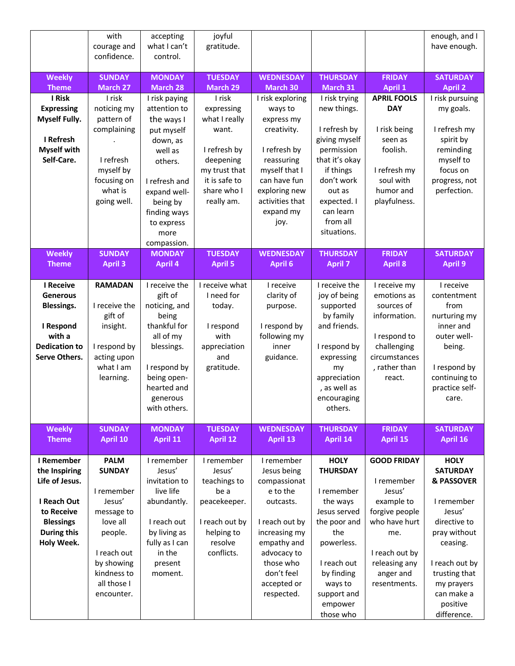|                                                                                                                                    | with<br>courage and<br>confidence.                                                                                                                                 | accepting<br>what I can't<br>control.                                                                                                                                                         | joyful<br>gratitude.                                                                                                                       |                                                                                                                                                                                             |                                                                                                                                                                                              |                                                                                                                                                                    | enough, and I<br>have enough.                                                                                                                                                                              |
|------------------------------------------------------------------------------------------------------------------------------------|--------------------------------------------------------------------------------------------------------------------------------------------------------------------|-----------------------------------------------------------------------------------------------------------------------------------------------------------------------------------------------|--------------------------------------------------------------------------------------------------------------------------------------------|---------------------------------------------------------------------------------------------------------------------------------------------------------------------------------------------|----------------------------------------------------------------------------------------------------------------------------------------------------------------------------------------------|--------------------------------------------------------------------------------------------------------------------------------------------------------------------|------------------------------------------------------------------------------------------------------------------------------------------------------------------------------------------------------------|
| <b>Weekly</b>                                                                                                                      | <b>SUNDAY</b>                                                                                                                                                      | <b>MONDAY</b>                                                                                                                                                                                 | <b>TUESDAY</b>                                                                                                                             | <b>WEDNESDAY</b>                                                                                                                                                                            | <b>THURSDAY</b>                                                                                                                                                                              | <b>FRIDAY</b>                                                                                                                                                      | <b>SATURDAY</b>                                                                                                                                                                                            |
| <b>Theme</b>                                                                                                                       | <b>March 27</b>                                                                                                                                                    | <b>March 28</b>                                                                                                                                                                               | <b>March 29</b>                                                                                                                            | March 30                                                                                                                                                                                    | March 31                                                                                                                                                                                     | <b>April 1</b>                                                                                                                                                     | <b>April 2</b>                                                                                                                                                                                             |
| I Risk<br><b>Expressing</b><br><b>Myself Fully.</b><br>I Refresh<br><b>Myself with</b><br>Self-Care.                               | I risk<br>noticing my<br>pattern of<br>complaining<br>I refresh<br>myself by<br>focusing on<br>what is<br>going well.                                              | I risk paying<br>attention to<br>the ways I<br>put myself<br>down, as<br>well as<br>others.<br>I refresh and<br>expand well-<br>being by<br>finding ways<br>to express<br>more<br>compassion. | I risk<br>expressing<br>what I really<br>want.<br>I refresh by<br>deepening<br>my trust that<br>it is safe to<br>share who I<br>really am. | I risk exploring<br>ways to<br>express my<br>creativity.<br>I refresh by<br>reassuring<br>myself that I<br>can have fun<br>exploring new<br>activities that<br>expand my<br>joy.            | I risk trying<br>new things.<br>I refresh by<br>giving myself<br>permission<br>that it's okay<br>if things<br>don't work<br>out as<br>expected. I<br>can learn<br>from all<br>situations.    | <b>APRIL FOOLS</b><br><b>DAY</b><br>I risk being<br>seen as<br>foolish.<br>I refresh my<br>soul with<br>humor and<br>playfulness.                                  | I risk pursuing<br>my goals.<br>I refresh my<br>spirit by<br>reminding<br>myself to<br>focus on<br>progress, not<br>perfection.                                                                            |
| <b>Weekly</b><br><b>Theme</b>                                                                                                      | <b>SUNDAY</b><br><b>April 3</b>                                                                                                                                    | <b>MONDAY</b><br><b>April 4</b>                                                                                                                                                               | <b>TUESDAY</b><br><b>April 5</b>                                                                                                           | <b>WEDNESDAY</b><br><b>April 6</b>                                                                                                                                                          | <b>THURSDAY</b><br><b>April 7</b>                                                                                                                                                            | <b>FRIDAY</b><br><b>April 8</b>                                                                                                                                    | <b>SATURDAY</b><br><b>April 9</b>                                                                                                                                                                          |
| I Receive<br><b>Generous</b><br><b>Blessings.</b><br>I Respond<br>with a<br><b>Dedication to</b><br>Serve Others.                  | <b>RAMADAN</b><br>I receive the<br>gift of<br>insight.<br>I respond by<br>acting upon<br>what I am<br>learning.                                                    | I receive the<br>gift of<br>noticing, and<br>being<br>thankful for<br>all of my<br>blessings.<br>I respond by<br>being open-<br>hearted and<br>generous<br>with others.                       | I receive what<br>I need for<br>today.<br>I respond<br>with<br>appreciation<br>and<br>gratitude.                                           | I receive<br>clarity of<br>purpose.<br>I respond by<br>following my<br>inner<br>guidance.                                                                                                   | I receive the<br>joy of being<br>supported<br>by family<br>and friends.<br>I respond by<br>expressing<br>my<br>appreciation<br>, as well as<br>encouraging<br>others.                        | I receive my<br>emotions as<br>sources of<br>information.<br>I respond to<br>challenging<br>circumstances<br>, rather than<br>react.                               | I receive<br>contentment<br>from<br>nurturing my<br>inner and<br>outer well-<br>being.<br>I respond by<br>continuing to<br>practice self-<br>care.                                                         |
| <b>Weekly</b><br><b>Theme</b>                                                                                                      | <b>SUNDAY</b><br>April 10                                                                                                                                          | <b>MONDAY</b><br>April 11                                                                                                                                                                     | <b>TUESDAY</b><br>April 12                                                                                                                 | <b>WEDNESDAY</b><br>April 13                                                                                                                                                                | <b>THURSDAY</b><br>April 14                                                                                                                                                                  | <b>FRIDAY</b><br>April 15                                                                                                                                          | <b>SATURDAY</b><br>April 16                                                                                                                                                                                |
| I Remember<br>the Inspiring<br>Life of Jesus.<br>I Reach Out<br>to Receive<br><b>Blessings</b><br><b>During this</b><br>Holy Week. | <b>PALM</b><br><b>SUNDAY</b><br>I remember<br>Jesus'<br>message to<br>love all<br>people.<br>I reach out<br>by showing<br>kindness to<br>all those I<br>encounter. | I remember<br>Jesus'<br>invitation to<br>live life<br>abundantly.<br>I reach out<br>by living as<br>fully as I can<br>in the<br>present<br>moment.                                            | I remember<br>Jesus'<br>teachings to<br>be a<br>peacekeeper.<br>I reach out by<br>helping to<br>resolve<br>conflicts.                      | I remember<br>Jesus being<br>compassionat<br>e to the<br>outcasts.<br>I reach out by<br>increasing my<br>empathy and<br>advocacy to<br>those who<br>don't feel<br>accepted or<br>respected. | <b>HOLY</b><br><b>THURSDAY</b><br>I remember<br>the ways<br>Jesus served<br>the poor and<br>the<br>powerless.<br>I reach out<br>by finding<br>ways to<br>support and<br>empower<br>those who | <b>GOOD FRIDAY</b><br>I remember<br>Jesus'<br>example to<br>forgive people<br>who have hurt<br>me.<br>I reach out by<br>releasing any<br>anger and<br>resentments. | <b>HOLY</b><br><b>SATURDAY</b><br>& PASSOVER<br>I remember<br>Jesus'<br>directive to<br>pray without<br>ceasing.<br>I reach out by<br>trusting that<br>my prayers<br>can make a<br>positive<br>difference. |